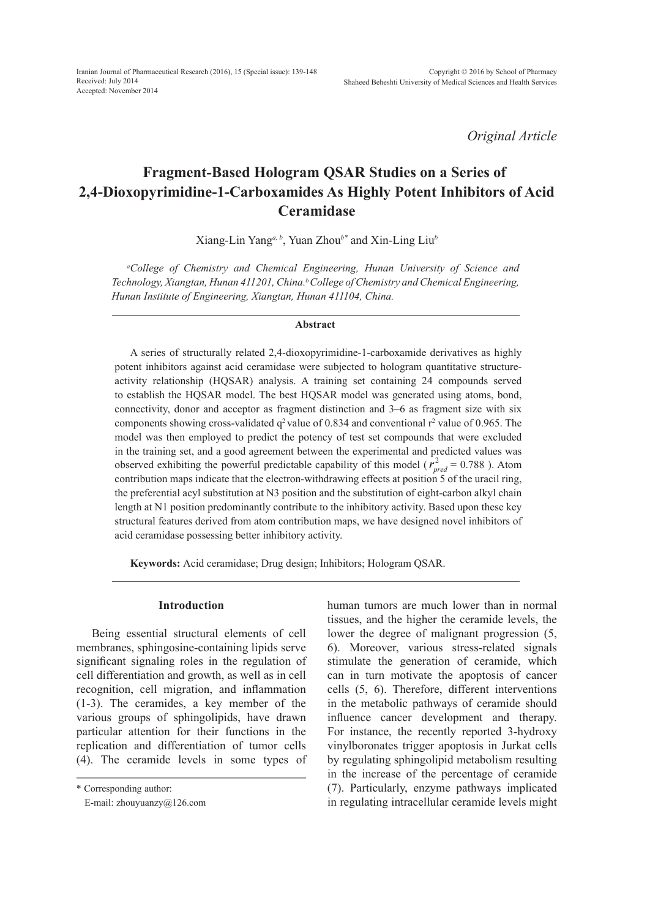*Original Article*

# **Fragment-Based Hologram QSAR Studies on a Series of 2,4-Dioxopyrimidine-1-Carboxamides As Highly Potent Inhibitors of Acid Ceramidase**

Xiang-Lin Yang*a, b*, Yuan Zhou*b\** and Xin-Ling Liu*<sup>b</sup>*

*a College of Chemistry and Chemical Engineering, Hunan University of Science and Technology, Xiangtan, Hunan 411201, China.b College of Chemistry and Chemical Engineering, Hunan Institute of Engineering, Xiangtan, Hunan 411104, China.* 

#### **Abstract**

A series of structurally related 2,4-dioxopyrimidine-1-carboxamide derivatives as highly potent inhibitors against acid ceramidase were subjected to hologram quantitative structureactivity relationship (HQSAR) analysis. A training set containing 24 compounds served to establish the HQSAR model. The best HQSAR model was generated using atoms, bond, connectivity, donor and acceptor as fragment distinction and 3–6 as fragment size with six components showing cross-validated  $q^2$  value of 0.834 and conventional  $r^2$  value of 0.965. The model was then employed to predict the potency of test set compounds that were excluded in the training set, and a good agreement between the experimental and predicted values was observed exhibiting the powerful predictable capability of this model ( $r_{pred}^2 = 0.788$ ). Atom contribution maps indicate that the electron-withdrawing effects at position 5 of the uracil ring, the preferential acyl substitution at N3 position and the substitution of eight-carbon alkyl chain length at N1 position predominantly contribute to the inhibitory activity. Based upon these key structural features derived from atom contribution maps, we have designed novel inhibitors of acid ceramidase possessing better inhibitory activity.

**Keywords:** Acid ceramidase; Drug design; Inhibitors; Hologram QSAR.

#### **Introduction**

Being essential structural elements of cell membranes, sphingosine-containing lipids serve significant signaling roles in the regulation of cell differentiation and growth, as well as in cell recognition, cell migration, and inflammation (1-3). The ceramides, a key member of the various groups of sphingolipids, have drawn particular attention for their functions in the replication and differentiation of tumor cells (4). The ceramide levels in some types of

\* Corresponding author:

E-mail: zhouyuanzy@126.com

human tumors are much lower than in normal tissues, and the higher the ceramide levels, the lower the degree of malignant progression (5, 6). Moreover, various stress-related signals stimulate the generation of ceramide, which can in turn motivate the apoptosis of cancer cells (5, 6). Therefore, different interventions in the metabolic pathways of ceramide should influence cancer development and therapy. For instance, the recently reported 3-hydroxy vinylboronates trigger apoptosis in Jurkat cells by regulating sphingolipid metabolism resulting in the increase of the percentage of ceramide (7). Particularly, enzyme pathways implicated in regulating intracellular ceramide levels might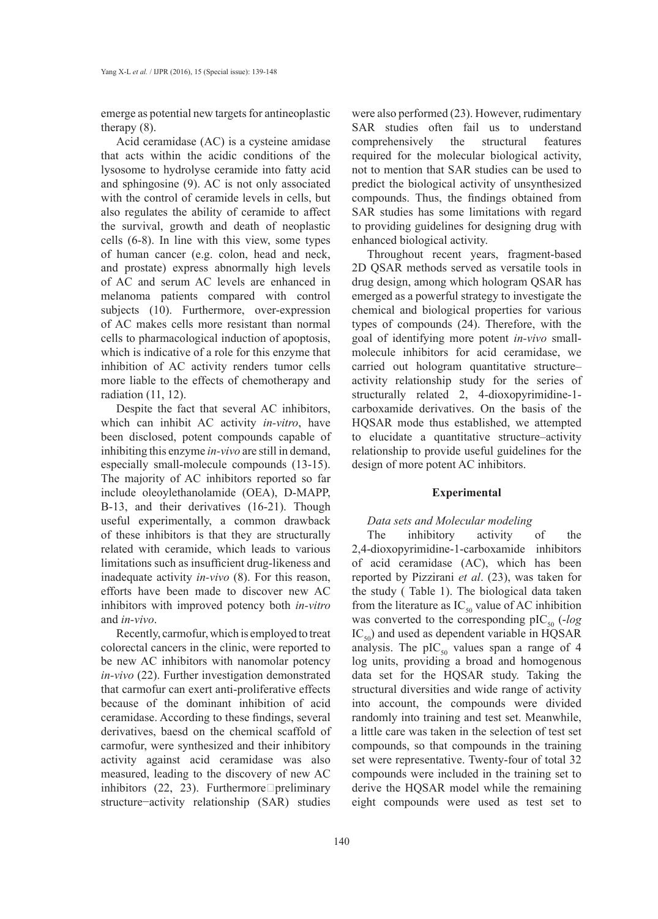emerge as potential new targets for antineoplastic therapy (8).

Acid ceramidase (AC) is a cysteine amidase that acts within the acidic conditions of the lysosome to hydrolyse ceramide into fatty acid and sphingosine (9). AC is not only associated with the control of ceramide levels in cells, but also regulates the ability of ceramide to affect the survival, growth and death of neoplastic cells (6-8). In line with this view, some types of human cancer (e.g. colon, head and neck, and prostate) express abnormally high levels of AC and serum AC levels are enhanced in melanoma patients compared with control subjects (10). Furthermore, over-expression of AC makes cells more resistant than normal cells to pharmacological induction of apoptosis, which is indicative of a role for this enzyme that inhibition of AC activity renders tumor cells more liable to the effects of chemotherapy and radiation (11, 12).

Despite the fact that several AC inhibitors, which can inhibit AC activity *in-vitro*, have been disclosed, potent compounds capable of inhibiting this enzyme *in-vivo* are still in demand, especially small-molecule compounds (13-15). The majority of AC inhibitors reported so far include oleoylethanolamide (OEA), D-MAPP, B-13, and their derivatives (16-21). Though useful experimentally, a common drawback of these inhibitors is that they are structurally related with ceramide, which leads to various limitations such as insufficient drug-likeness and inadequate activity *in-vivo* (8). For this reason, efforts have been made to discover new AC inhibitors with improved potency both *in-vitro* and *in-vivo*.

Recently, carmofur, which is employed to treat colorectal cancers in the clinic, were reported to be new AC inhibitors with nanomolar potency *in-vivo* (22). Further investigation demonstrated that carmofur can exert anti-proliferative effects because of the dominant inhibition of acid ceramidase. According to these findings, several derivatives, baesd on the chemical scaffold of carmofur, were synthesized and their inhibitory activity against acid ceramidase was also measured, leading to the discovery of new AC inhibitors  $(22, 23)$ . Furthermore $\Box$ preliminary structure−activity relationship (SAR) studies

were also performed (23). However, rudimentary SAR studies often fail us to understand comprehensively the structural features required for the molecular biological activity, not to mention that SAR studies can be used to predict the biological activity of unsynthesized compounds. Thus, the findings obtained from SAR studies has some limitations with regard to providing guidelines for designing drug with enhanced biological activity.

Throughout recent years, fragment-based 2D QSAR methods served as versatile tools in drug design, among which hologram QSAR has emerged as a powerful strategy to investigate the chemical and biological properties for various types of compounds (24). Therefore, with the goal of identifying more potent *in-vivo* smallmolecule inhibitors for acid ceramidase, we carried out hologram quantitative structure– activity relationship study for the series of structurally related 2, 4-dioxopyrimidine-1 carboxamide derivatives. On the basis of the HQSAR mode thus established, we attempted to elucidate a quantitative structure–activity relationship to provide useful guidelines for the design of more potent AC inhibitors.

#### **Experimental**

# *Data sets and Molecular modeling*

The inhibitory activity of the 2,4-dioxopyrimidine-1-carboxamide inhibitors of acid ceramidase (AC), which has been reported by Pizzirani *et al*. (23), was taken for the study ( Table 1). The biological data taken from the literature as  $IC_{50}$  value of AC inhibition was converted to the corresponding  $\text{pIC}_{50}$  (-*log*  $IC_{50}$ ) and used as dependent variable in HQSAR analysis. The  $\text{pIC}_{50}$  values span a range of 4 log units, providing a broad and homogenous data set for the HQSAR study. Taking the structural diversities and wide range of activity into account, the compounds were divided randomly into training and test set. Meanwhile, a little care was taken in the selection of test set compounds, so that compounds in the training set were representative. Twenty-four of total 32 compounds were included in the training set to derive the HQSAR model while the remaining eight compounds were used as test set to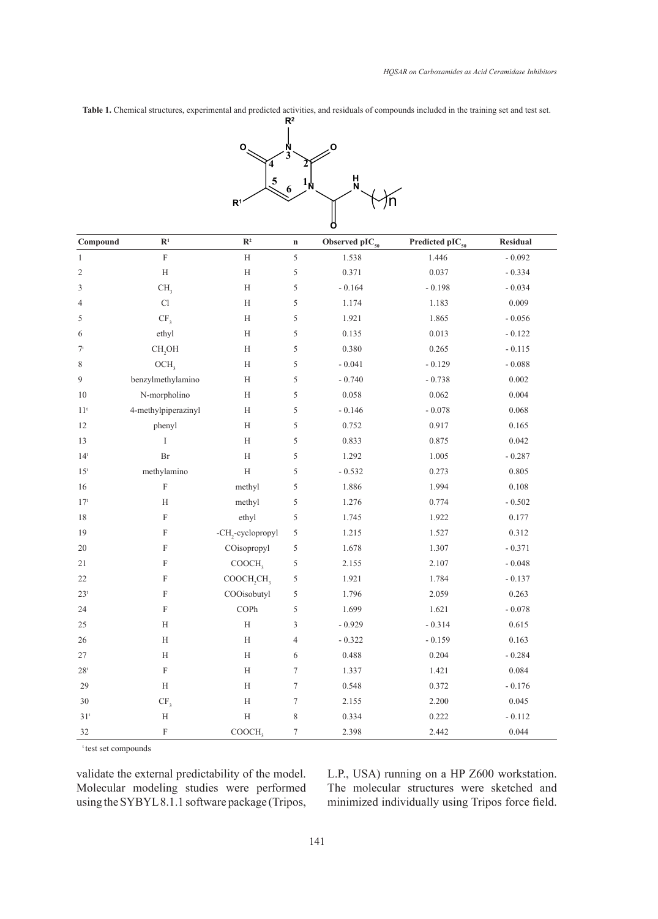**Table 1.** Chemical structures, experimental and predicted activities, and residuals of compounds included in the training set and test set.



| Compound        | $\mathbb{R}^1$             | $\mathbb{R}^2$                     | $\mathbf n$      | Observed $\text{pIC}_{50}$ | Predicted pIC <sub>50</sub> | Residual |
|-----------------|----------------------------|------------------------------------|------------------|----------------------------|-----------------------------|----------|
| $\mathbf{1}$    | $\mathbf F$                | $\mathbf H$                        | 5                | 1.538                      | 1.446                       | $-0.092$ |
| $\overline{c}$  | H                          | $\mathbf H$                        | 5                | 0.371                      | 0.037                       | $-0.334$ |
| 3               | CH <sub>3</sub>            | $\mathbf H$                        | 5                | $-0.164$                   | $-0.198$                    | $-0.034$ |
| $\overline{4}$  | $\mathop{\rm Cl}\nolimits$ | $\mathbf H$                        | 5                | 1.174                      | 1.183                       | 0.009    |
| 5               | CF <sub>3</sub>            | $\mathbf H$                        | 5                | 1.921                      | 1.865                       | $-0.056$ |
| 6               | ethyl                      | H                                  | 5                | 0.135                      | 0.013                       | $-0.122$ |
| 7 <sup>t</sup>  | CH <sub>2</sub> OH         | $\mathbf H$                        | 5                | 0.380                      | 0.265                       | $-0.115$ |
| 8               | OCH,                       | $\mathbf H$                        | 5                | $-0.041$                   | $-0.129$                    | $-0.088$ |
| 9               | benzylmethylamino          | $\mathbf H$                        | 5                | $-0.740$                   | $-0.738$                    | 0.002    |
| 10              | N-morpholino               | H                                  | 5                | 0.058                      | 0.062                       | 0.004    |
| 11 <sup>t</sup> | 4-methylpiperazinyl        | $\mathbf H$                        | 5                | $-0.146$                   | $-0.078$                    | 0.068    |
| 12              | phenyl                     | $\mathbf H$                        | 5                | 0.752                      | 0.917                       | 0.165    |
| 13              | I                          | H                                  | 5                | 0.833                      | 0.875                       | 0.042    |
| $14^t$          | Br                         | $\rm H$                            | 5                | 1.292                      | 1.005                       | $-0.287$ |
| 15 <sup>t</sup> | methylamino                | $\mathbf H$                        | 5                | $-0.532$                   | 0.273                       | 0.805    |
| 16              | $\mathbf F$                | methyl                             | 5                | 1.886                      | 1.994                       | 0.108    |
| 17 <sup>t</sup> | $\mathbf H$                | methyl                             | 5                | 1.276                      | 0.774                       | $-0.502$ |
| $18\,$          | $\mathbf F$                | ethyl                              | 5                | 1.745                      | 1.922                       | 0.177    |
| 19              | $\mathbf F$                | -CH <sub>2</sub> -cyclopropyl      | 5                | 1.215                      | 1.527                       | 0.312    |
| 20              | $\mathbf F$                | COisopropyl                        | 5                | 1.678                      | 1.307                       | $-0.371$ |
| 21              | $\boldsymbol{\mathrm{F}}$  | COOCH,                             | 5                | 2.155                      | 2.107                       | $-0.048$ |
| $22\,$          | F                          | COOCH <sub>2</sub> CH <sub>3</sub> | 5                | 1.921                      | 1.784                       | $-0.137$ |
| 23 <sup>t</sup> | $\mathbf F$                | COOisobutyl                        | 5                | 1.796                      | 2.059                       | 0.263    |
| 24              | $\mathbf F$                | COPh                               | 5                | 1.699                      | 1.621                       | $-0.078$ |
| 25              | $\mathbf H$                | $\mathbf H$                        | 3                | $-0.929$                   | $-0.314$                    | 0.615    |
| $26\,$          | $\rm H$                    | $\mathbf H$                        | 4                | $-0.322$                   | $-0.159$                    | 0.163    |
| 27              | H                          | H                                  | 6                | 0.488                      | 0.204                       | $-0.284$ |
| 28 <sup>t</sup> | $\mathbf F$                | $\rm H$                            | $\tau$           | 1.337                      | 1.421                       | 0.084    |
| 29              | H                          | $\boldsymbol{\mathrm{H}}$          | $\tau$           | 0.548                      | 0.372                       | $-0.176$ |
| $30\,$          | CF <sub>3</sub>            | $\rm H$                            | $\boldsymbol{7}$ | 2.155                      | 2.200                       | 0.045    |
| 31 <sup>t</sup> | $\rm H$                    | $\mathbf H$                        | 8                | 0.334                      | 0.222                       | $-0.112$ |
| 32              | $\mathbf F$                | COOCH,                             | $\boldsymbol{7}$ | 2.398                      | 2.442                       | 0.044    |

test set compounds

validate the external predictability of the model. Molecular modeling studies were performed using the SYBYL 8.1.1 software package (Tripos, L.P., USA) running on a HP Z600 workstation. The molecular structures were sketched and minimized individually using Tripos force field.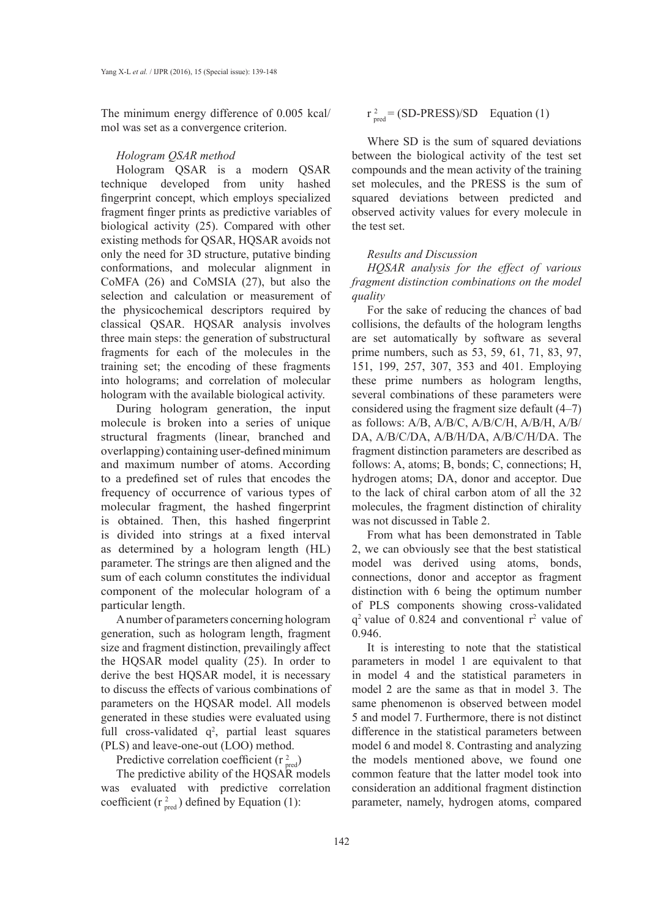The minimum energy difference of 0.005 kcal/ mol was set as a convergence criterion.

## *Hologram QSAR method*

Hologram QSAR is a modern QSAR technique developed from unity hashed fingerprint concept, which employs specialized fragment finger prints as predictive variables of biological activity (25). Compared with other existing methods for QSAR, HQSAR avoids not only the need for 3D structure, putative binding conformations, and molecular alignment in CoMFA (26) and CoMSIA (27), but also the selection and calculation or measurement of the physicochemical descriptors required by classical QSAR. HQSAR analysis involves three main steps: the generation of substructural fragments for each of the molecules in the training set; the encoding of these fragments into holograms; and correlation of molecular hologram with the available biological activity.

During hologram generation, the input molecule is broken into a series of unique structural fragments (linear, branched and overlapping) containing user-defined minimum and maximum number of atoms. According to a predefined set of rules that encodes the frequency of occurrence of various types of molecular fragment, the hashed fingerprint is obtained. Then, this hashed fingerprint is divided into strings at a fixed interval as determined by a hologram length (HL) parameter. The strings are then aligned and the sum of each column constitutes the individual component of the molecular hologram of a particular length.

A number of parameters concerning hologram generation, such as hologram length, fragment size and fragment distinction, prevailingly affect the HQSAR model quality (25). In order to derive the best HQSAR model, it is necessary to discuss the effects of various combinations of parameters on the HQSAR model. All models generated in these studies were evaluated using full cross-validated  $q^2$ , partial least squares (PLS) and leave-one-out (LOO) method.

Predictive correlation coefficient ( $r_{pred}^2$ )

The predictive ability of the HQSAR models was evaluated with predictive correlation coefficient ( $r_{pred}^2$ ) defined by Equation (1):

 $r_{\text{pred}}^2 = (\text{SD-PRESS})/\text{SD}$  Equation (1)

Where SD is the sum of squared deviations between the biological activity of the test set compounds and the mean activity of the training set molecules, and the PRESS is the sum of squared deviations between predicted and observed activity values for every molecule in the test set.

## *Results and Discussion*

*HQSAR analysis for the effect of various fragment distinction combinations on the model quality*

For the sake of reducing the chances of bad collisions, the defaults of the hologram lengths are set automatically by software as several prime numbers, such as 53, 59, 61, 71, 83, 97, 151, 199, 257, 307, 353 and 401. Employing these prime numbers as hologram lengths, several combinations of these parameters were considered using the fragment size default (4–7) as follows: A/B, A/B/C, A/B/C/H, A/B/H, A/B/ DA, A/B/C/DA, A/B/H/DA, A/B/C/H/DA. The fragment distinction parameters are described as follows: A, atoms; B, bonds; C, connections; H, hydrogen atoms; DA, donor and acceptor. Due to the lack of chiral carbon atom of all the 32 molecules, the fragment distinction of chirality was not discussed in Table 2.

From what has been demonstrated in Table 2, we can obviously see that the best statistical model was derived using atoms, bonds, connections, donor and acceptor as fragment distinction with 6 being the optimum number of PLS components showing cross-validated  $q<sup>2</sup>$  value of 0.824 and conventional  $r<sup>2</sup>$  value of 0.946.

It is interesting to note that the statistical parameters in model 1 are equivalent to that in model 4 and the statistical parameters in model 2 are the same as that in model 3. The same phenomenon is observed between model 5 and model 7. Furthermore, there is not distinct difference in the statistical parameters between model 6 and model 8. Contrasting and analyzing the models mentioned above, we found one common feature that the latter model took into consideration an additional fragment distinction parameter, namely, hydrogen atoms, compared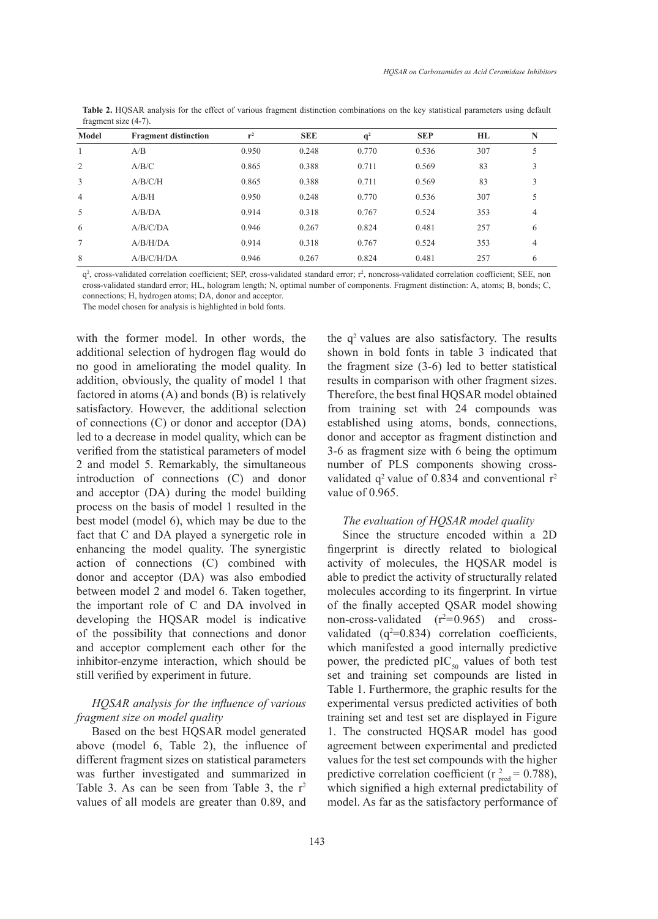| Model          | <b>Fragment distinction</b> | $r^2$ | <b>SEE</b> | $q^2$ | <b>SEP</b> | HL  | N |
|----------------|-----------------------------|-------|------------|-------|------------|-----|---|
|                | A/B                         | 0.950 | 0.248      | 0.770 | 0.536      | 307 |   |
| 2              | A/B/C                       | 0.865 | 0.388      | 0.711 | 0.569      | 83  |   |
| 3              | A/B/C/H                     | 0.865 | 0.388      | 0.711 | 0.569      | 83  |   |
| $\overline{4}$ | A/B/H                       | 0.950 | 0.248      | 0.770 | 0.536      | 307 |   |
| 5              | A/B/DA                      | 0.914 | 0.318      | 0.767 | 0.524      | 353 | 4 |
| 6              | A/B/C/DA                    | 0.946 | 0.267      | 0.824 | 0.481      | 257 | 6 |
| $\tau$         | A/B/H/DA                    | 0.914 | 0.318      | 0.767 | 0.524      | 353 | 4 |
| 8              | A/B/C/H/DA                  | 0.946 | 0.267      | 0.824 | 0.481      | 257 | 6 |

**Table 2.** HQSAR analysis for the effect of various fragment distinction combinations on the key statistical parameters using default fragment size (4-7).

q<sup>2</sup>, cross-validated correlation coefficient; SEP, cross-validated standard error; r<sup>2</sup>, noncross-validated correlation coefficient; SEE, non cross-validated standard error; HL, hologram length; N, optimal number of components. Fragment distinction: A, atoms; B, bonds; C, connections; H, hydrogen atoms; DA, donor and acceptor.

The model chosen for analysis is highlighted in bold fonts.

with the former model. In other words, the additional selection of hydrogen flag would do no good in ameliorating the model quality. In addition, obviously, the quality of model 1 that factored in atoms (A) and bonds (B) is relatively satisfactory. However, the additional selection of connections (C) or donor and acceptor (DA) led to a decrease in model quality, which can be verified from the statistical parameters of model 2 and model 5. Remarkably, the simultaneous introduction of connections (C) and donor and acceptor (DA) during the model building process on the basis of model 1 resulted in the best model (model 6), which may be due to the fact that C and DA played a synergetic role in enhancing the model quality. The synergistic action of connections (C) combined with donor and acceptor (DA) was also embodied between model 2 and model 6. Taken together, the important role of C and DA involved in developing the HQSAR model is indicative of the possibility that connections and donor and acceptor complement each other for the inhibitor-enzyme interaction, which should be still verified by experiment in future.

## *HQSAR analysis for the influence of various fragment size on model quality*

Based on the best HQSAR model generated above (model 6, Table 2), the influence of different fragment sizes on statistical parameters was further investigated and summarized in Table 3. As can be seen from Table 3, the  $r^2$ values of all models are greater than 0.89, and the  $q^2$  values are also satisfactory. The results shown in bold fonts in table 3 indicated that the fragment size (3-6) led to better statistical results in comparison with other fragment sizes. Therefore, the best final HQSAR model obtained from training set with 24 compounds was established using atoms, bonds, connections, donor and acceptor as fragment distinction and 3-6 as fragment size with 6 being the optimum number of PLS components showing crossvalidated  $q^2$  value of 0.834 and conventional  $r^2$ value of 0.965.

#### *The evaluation of HQSAR model quality*

Since the structure encoded within a 2D fingerprint is directly related to biological activity of molecules, the HQSAR model is able to predict the activity of structurally related molecules according to its fingerprint. In virtue of the finally accepted QSAR model showing non-cross-validated  $(r^2=0.965)$  and crossvalidated  $(q^2=0.834)$  correlation coefficients, which manifested a good internally predictive power, the predicted  $\text{pIC}_{50}$  values of both test set and training set compounds are listed in Table 1. Furthermore, the graphic results for the experimental versus predicted activities of both training set and test set are displayed in Figure 1. The constructed HQSAR model has good agreement between experimental and predicted values for the test set compounds with the higher predictive correlation coefficient ( $r_{pred}^2 = 0.788$ ), which signified a high external predictability of model. As far as the satisfactory performance of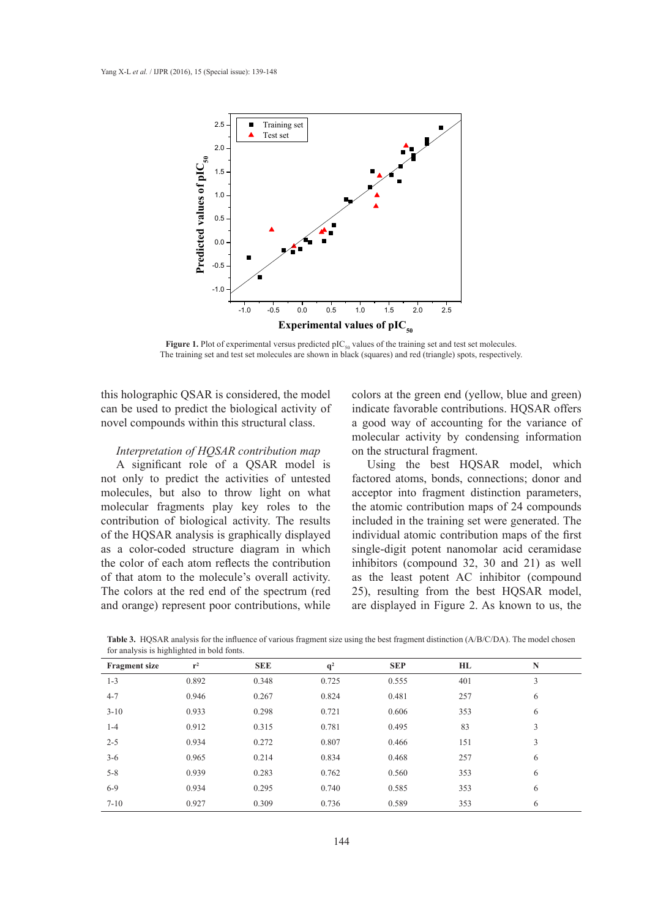

**Figure 1.** Plot of experimental versus predicted  $\text{pIC}_{50}$  values of the training set and test set molecules. The training set and test set molecules are shown in black (squares) and red (triangle) spots, respectively.

this holographic QSAR is considered, the model colors at the green end (yellow, bl can be used to predict the biological activity of novel compounds within this structural class. *Interpretation of HQSAR contribution map*

## *Interpretation of HQSAR contribution map*

A significant role of a QSAR model is not only to predict the activities of untested molecules, but also to throw light on what acceptor into fragment distinction parameters, molecular fragments play key roles to the contribution of biological activity. The results of the HQSAR analysis is graphically displayed as a color-coded structure diagram in which single-digit potent nanomolar acid ceramidase the color of each atom reflects the contribution of that atom to the molecule's overall activity. The colors at the red end of the spectrum (red and orange) represent poor contributions, while contribution of biological activity. The results included in the training set were generated. The the color of each atom reflects the contribution inhibitors (compound 32, 30 and 21) as well

colors at the green end (yellow, blue and green) indicate favorable contributions. HQSAR offers a good way of accounting for the variance of molecular activity by condensing information on the structural fragment.

A significant role of a QSAR model is Using the best HQSAR model, which factored atoms, bonds, connections; donor and acceptor into fragment distinction parameters, the atomic contribution maps of 24 compounds individual atomic contribution maps of the first single-digit potent nanomolar acid ceramidase as the least potent AC inhibitor (compound 25), resulting from the best HQSAR model, are displayed in Figure 2. As known to us, the

**Table 3.** HQSAR analysis for the influence of various fragment size using the best fragment distinction (A/B/C/DA). The model chosen for analysis is highlighted in bold fonts. the atomic contribution maps of 24 compounds included in the training set were generated. The individual atomic contribution maps of 24 contribution maps of  $\alpha$  contribution maps of  $\alpha$  contribution maps of  $\alpha$  contribu

| <b>Fragment size</b> | $r^2$ | <b>SEE</b> | q <sup>2</sup> | <b>SEP</b> | HL  | ${\bf N}$     |
|----------------------|-------|------------|----------------|------------|-----|---------------|
| $1 - 3$              | 0.892 | 0.348      | 0.725          | 0.555      | 401 | $\mathfrak z$ |
| $4 - 7$              | 0.946 | 0.267      | 0.824          | 0.481      | 257 | 6             |
| $3 - 10$             | 0.933 | 0.298      | 0.721          | 0.606      | 353 | 6             |
| $1-4$                | 0.912 | 0.315      | 0.781          | 0.495      | 83  | 3             |
| $2 - 5$              | 0.934 | 0.272      | 0.807          | 0.466      | 151 | 3             |
| $3 - 6$              | 0.965 | 0.214      | 0.834          | 0.468      | 257 | 6             |
| $5 - 8$              | 0.939 | 0.283      | 0.762          | 0.560      | 353 | 6             |
| $6 - 9$              | 0.934 | 0.295      | 0.740          | 0.585      | 353 | 6             |
| $7 - 10$             | 0.927 | 0.309      | 0.736          | 0.589      | 353 | 6             |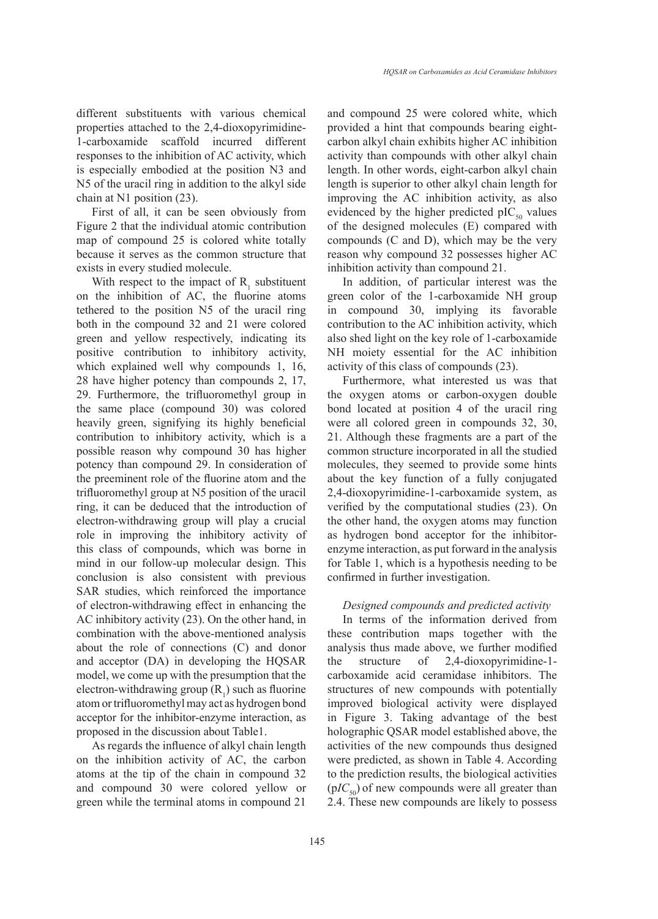different substituents with various chemical properties attached to the 2,4-dioxopyrimidine-1-carboxamide scaffold incurred different responses to the inhibition of AC activity, which is especially embodied at the position N3 and N5 of the uracil ring in addition to the alkyl side chain at N1 position (23).

First of all, it can be seen obviously from Figure 2 that the individual atomic contribution map of compound 25 is colored white totally because it serves as the common structure that exists in every studied molecule.

With respect to the impact of  $R_1$  substituent on the inhibition of AC, the fluorine atoms tethered to the position N5 of the uracil ring both in the compound 32 and 21 were colored green and yellow respectively, indicating its positive contribution to inhibitory activity, which explained well why compounds 1, 16, 28 have higher potency than compounds 2, 17, 29. Furthermore, the trifluoromethyl group in the same place (compound 30) was colored heavily green, signifying its highly beneficial contribution to inhibitory activity, which is a possible reason why compound 30 has higher potency than compound 29. In consideration of the preeminent role of the fluorine atom and the trifluoromethyl group at N5 position of the uracil ring, it can be deduced that the introduction of electron-withdrawing group will play a crucial role in improving the inhibitory activity of this class of compounds, which was borne in mind in our follow-up molecular design. This conclusion is also consistent with previous SAR studies, which reinforced the importance of electron-withdrawing effect in enhancing the AC inhibitory activity (23). On the other hand, in combination with the above-mentioned analysis about the role of connections (C) and donor and acceptor (DA) in developing the HQSAR model, we come up with the presumption that the electron-withdrawing group  $(R_1)$  such as fluorine atom or trifluoromethyl may act as hydrogen bond acceptor for the inhibitor-enzyme interaction, as proposed in the discussion about Table1.

As regards the influence of alkyl chain length on the inhibition activity of AC, the carbon atoms at the tip of the chain in compound 32 and compound 30 were colored yellow or green while the terminal atoms in compound 21

and compound 25 were colored white, which provided a hint that compounds bearing eightcarbon alkyl chain exhibits higher AC inhibition activity than compounds with other alkyl chain length. In other words, eight-carbon alkyl chain length is superior to other alkyl chain length for improving the AC inhibition activity, as also evidenced by the higher predicted  $pIC_{50}$  values of the designed molecules (E) compared with compounds (C and D), which may be the very reason why compound 32 possesses higher AC inhibition activity than compound 21.

In addition, of particular interest was the green color of the 1-carboxamide NH group in compound 30, implying its favorable contribution to the AC inhibition activity, which also shed light on the key role of 1-carboxamide NH moiety essential for the AC inhibition activity of this class of compounds (23).

Furthermore, what interested us was that the oxygen atoms or carbon-oxygen double bond located at position 4 of the uracil ring were all colored green in compounds 32, 30, 21. Although these fragments are a part of the common structure incorporated in all the studied molecules, they seemed to provide some hints about the key function of a fully conjugated 2,4-dioxopyrimidine-1-carboxamide system, as verified by the computational studies (23). On the other hand, the oxygen atoms may function as hydrogen bond acceptor for the inhibitorenzyme interaction, as put forward in the analysis for Table 1, which is a hypothesis needing to be confirmed in further investigation.

## *Designed compounds and predicted activity*

In terms of the information derived from these contribution maps together with the analysis thus made above, we further modified the structure of 2,4-dioxopyrimidine-1 carboxamide acid ceramidase inhibitors. The structures of new compounds with potentially improved biological activity were displayed in Figure 3. Taking advantage of the best holographic QSAR model established above, the activities of the new compounds thus designed were predicted, as shown in Table 4. According to the prediction results, the biological activities  $(pIC<sub>50</sub>)$  of new compounds were all greater than 2.4. These new compounds are likely to possess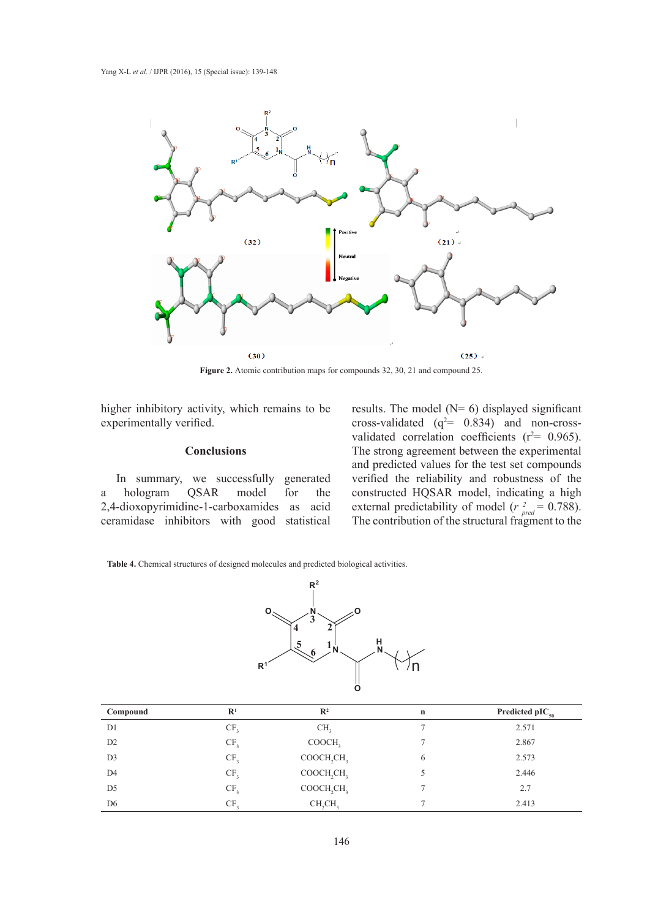

**Figure 2.** Atomic contribution maps for compounds 32, 30, 21 and compound 25. **Figure 2.** Atomic contribution maps for compounds 32, 30, 21 and compound 25.

higher inhibitory activity, which remains to be experimentally verified.

#### **Conclusions**

In summary, we successfully generated a hologram QSAR model for the 2,4-dioxopyrimidine-1-carboxamides as acid ceramidase inhibitors with good statistical a hologram QSAR model for the constructed HQSAR model, indicating a high 2,4-dioxopyrimidine-1-carboxamides as acid external predictability of model ( $r_{pred}^2 = 0.788$ ).

results. The model  $(N= 6)$  displayed significant cross-validated  $(q^2= 0.834)$  and non-cross- $\frac{1}{2}$  cross validated (q<sup>-0.05</sup>) and non-cross validated correlation coefficients ( $r^2$  = 0.965). **Conclusions** The strong agreement between the experimental improved biological and predicted values for the test set compounds and predicted values for the test set compounds verified the reliability and robustness of the The contribution of the structural fragment to the

**Table 4.** Chemical structures of designed molecules and predicted biological activities. **Table 4.** Chemical structures of designed molecules and predicted biological activities.



| Compound       | $\mathbf{R}^1$  | $\mathbb{R}^2$                     | $\mathbf n$ | Predicted pI $C_{50}$ |
|----------------|-----------------|------------------------------------|-------------|-----------------------|
| D <sub>1</sub> | CF <sub>2</sub> | CH <sub>2</sub>                    |             | 2.571                 |
| D2             | CF <sub>3</sub> | COOCH,                             |             | 2.867                 |
| D <sub>3</sub> | CF <sub>3</sub> | COOCH <sub>2</sub> CH <sub>3</sub> | 6           | 2.573                 |
| D <sub>4</sub> | CF <sub>3</sub> | COOCH <sub>2</sub> CH <sub>3</sub> |             | 2.446                 |
| D <sub>5</sub> | CF <sub>3</sub> | COOCH <sub>2</sub> CH <sub>3</sub> |             | 2.7                   |
| D <sub>6</sub> | CF <sub>2</sub> | CH <sub>2</sub> CH <sub>3</sub>    |             | 2.413                 |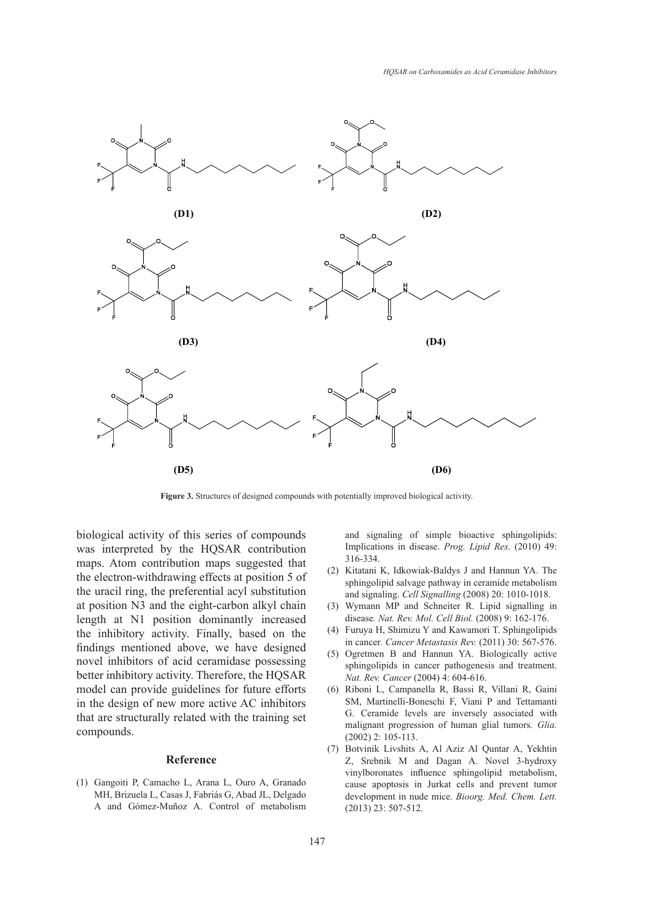

**Figure 3.** Structures of designed compounds with potentially improved biological activity.

biological activity of this series of compounds was interpreted by the HQSAR contribution maps. Atom contribution maps suggested that the electron-withdrawing effects at position 5 of the uracil ring, the preferential acyl substitution at position N3 and the eight-carbon alkyl chain length at N1 position dominantly increased the inhibitory activity. Finally, based on the findings mentioned above, we have designed novel inhibitors of acid ceramidase possessing better inhibitory activity. Therefore, the HQSAR model can provide guidelines for future efforts in the design of new more active AC inhibitors that are structurally related with the training set compounds.

#### **Reference**

Gangoiti P, Camacho L, Arana L, Ouro A, Granado (1) MH, Brizuela L, Casas J, Fabriás G, Abad JL, Delgado A and Gómez-Muñoz A. Control of metabolism and signaling of simple bioactive sphingolipids: Implications in disease. *Prog. Lipid Res*. (2010) 49: 316-334.

- $(2)$  Kitatani K, Idkowiak-Baldys J and Hannun YA. The sphingolipid salvage pathway in ceramide metabolism and signaling. *Cell Signalling* (2008) 20: 1010-1018.
- Wymann MP and Schneiter R. Lipid signalling in (3) disease*. Nat. Rev. Mol. Cell Biol.* (2008) 9: 162-176.
- Furuya H, Shimizu Y and Kawamori T. Sphingolipids (4) in cancer*. Cancer Metastasis Rev.* (2011) 30: 567-576.
- (5) Ogretmen B and Hannun YA. Biologically active sphingolipids in cancer pathogenesis and treatment. *Nat. Rev. Cancer* (2004) 4: 604-616.
- Riboni L, Campanella R, Bassi R, Villani R, Gaini (6) SM, Martinelli-Boneschi F, Viani P and Tettamanti G. Ceramide levels are inversely associated with malignant progression of human glial tumors*. Glia.* (2002) 2: 105-113.
- Botvinik Livshits A, Al Aziz Al Quntar A, Yekhtin (7) Z, Srebnik M and Dagan A. Novel 3-hydroxy vinylboronates influence sphingolipid metabolism, cause apoptosis in Jurkat cells and prevent tumor development in nude mice*. Bioorg. Med. Chem. Lett.* (2013) 23: 507-512.